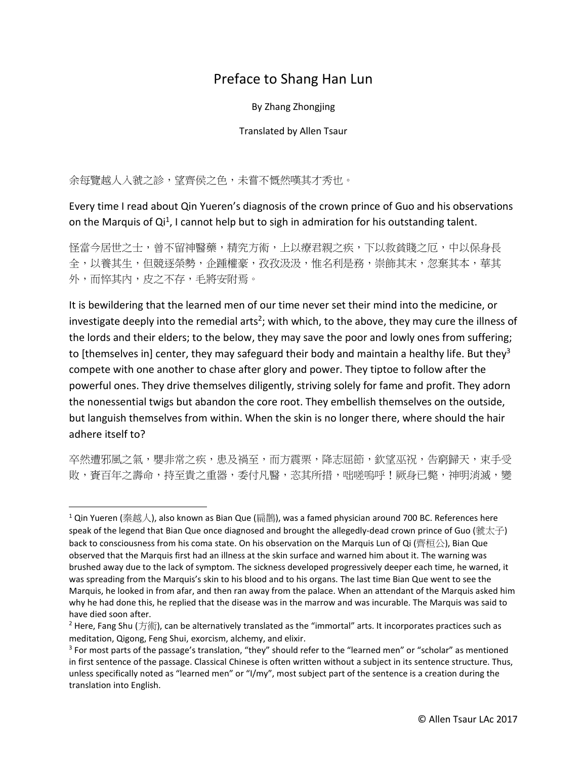## Preface to Shang Han Lun

By Zhang Zhongjing

## Translated by Allen Tsaur

余每覽越人入虢之診,望齊侯之色,未嘗不慨然嘆其才秀也。

l

Every time I read about Qin Yueren's diagnosis of the crown prince of Guo and his observations on the Marquis of Qi<sup>1</sup>, I cannot help but to sigh in admiration for his outstanding talent.

怪當今居世之士,曾不留神醫藥,精究方術,上以療君親之疾,下以救貧賤之厄,中以保身長 全,以養其生,但競逐榮勢,企踵權豪,孜孜汲汲,惟名利是務,崇飾其末,忽棄其本,華其 外,而悴其內,皮之不存,毛將安附焉。

It is bewildering that the learned men of our time never set their mind into the medicine, or investigate deeply into the remedial arts<sup>2</sup>; with which, to the above, they may cure the illness of the lords and their elders; to the below, they may save the poor and lowly ones from suffering; to [themselves in] center, they may safeguard their body and maintain a healthy life. But they<sup>3</sup> compete with one another to chase after glory and power. They tiptoe to follow after the powerful ones. They drive themselves diligently, striving solely for fame and profit. They adorn the nonessential twigs but abandon the core root. They embellish themselves on the outside, but languish themselves from within. When the skin is no longer there, where should the hair adhere itself to?

卒然遭邪風之氣,嬰非常之疾,患及禍至,而方震栗,降志屈節,欽望巫祝,告窮歸天,束手受 敗,賚百年之壽命,持至貴之重器,委付凡醫,恣其所措,咄嗟嗚呼!厥身已斃,神明消滅,變

 $1$ Qin Yueren (秦越人), also known as Bian Que (扁鵲), was a famed physician around 700 BC. References here speak of the legend that Bian Que once diagnosed and brought the allegedly-dead crown prince of Guo (虢太子) back to consciousness from his coma state. On his observation on the Marquis Lun of Qi (齊桓公), Bian Que observed that the Marquis first had an illness at the skin surface and warned him about it. The warning was brushed away due to the lack of symptom. The sickness developed progressively deeper each time, he warned, it was spreading from the Marquis's skin to his blood and to his organs. The last time Bian Que went to see the Marquis, he looked in from afar, and then ran away from the palace. When an attendant of the Marquis asked him why he had done this, he replied that the disease was in the marrow and was incurable. The Marquis was said to have died soon after.

<sup>&</sup>lt;sup>2</sup> Here, Fang Shu (方術), can be alternatively translated as the "immortal" arts. It incorporates practices such as meditation, Qigong, Feng Shui, exorcism, alchemy, and elixir.

<sup>&</sup>lt;sup>3</sup> For most parts of the passage's translation, "they" should refer to the "learned men" or "scholar" as mentioned in first sentence of the passage. Classical Chinese is often written without a subject in its sentence structure. Thus, unless specifically noted as "learned men" or "I/my", most subject part of the sentence is a creation during the translation into English.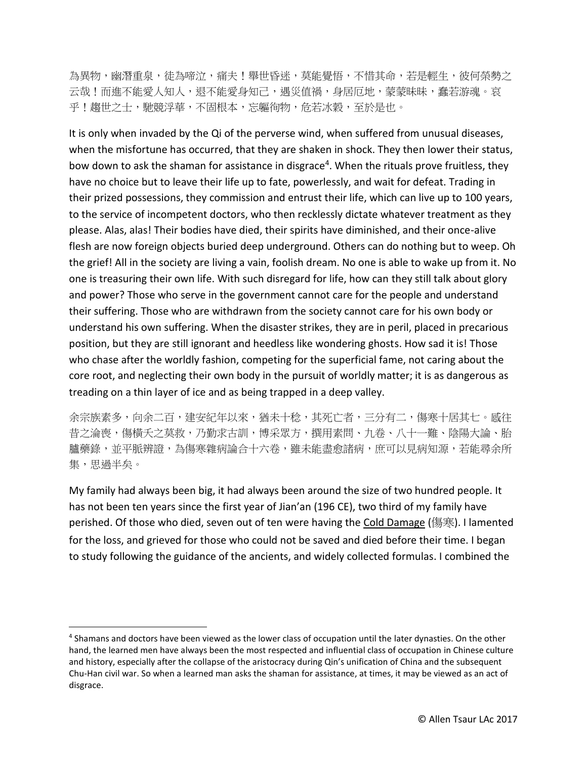為異物,幽潛重泉,徒為啼泣,痛夫!舉世昏迷,莫能覺悟,不惜其命,若是輕生,彼何榮勢之 云哉!而進不能愛人知人,退不能愛身知己,遇災值禍,身居厄地,蒙蒙昧昧,蠢若游魂。哀 乎!趨世之士,馳競浮華,不固根本,忘軀徇物,危若冰穀,至於是也。

It is only when invaded by the Qi of the perverse wind, when suffered from unusual diseases, when the misfortune has occurred, that they are shaken in shock. They then lower their status, bow down to ask the shaman for assistance in disgrace<sup>4</sup>. When the rituals prove fruitless, they have no choice but to leave their life up to fate, powerlessly, and wait for defeat. Trading in their prized possessions, they commission and entrust their life, which can live up to 100 years, to the service of incompetent doctors, who then recklessly dictate whatever treatment as they please. Alas, alas! Their bodies have died, their spirits have diminished, and their once-alive flesh are now foreign objects buried deep underground. Others can do nothing but to weep. Oh the grief! All in the society are living a vain, foolish dream. No one is able to wake up from it. No one is treasuring their own life. With such disregard for life, how can they still talk about glory and power? Those who serve in the government cannot care for the people and understand their suffering. Those who are withdrawn from the society cannot care for his own body or understand his own suffering. When the disaster strikes, they are in peril, placed in precarious position, but they are still ignorant and heedless like wondering ghosts. How sad it is! Those who chase after the worldly fashion, competing for the superficial fame, not caring about the core root, and neglecting their own body in the pursuit of worldly matter; it is as dangerous as treading on a thin layer of ice and as being trapped in a deep valley.

余宗族素多,向余二百,建安紀年以來,猶未十稔,其死亡者,三分有二,傷寒十居其七。感往 昔之淪喪,傷橫夭之莫救,乃勤求古訓,博采眾方,撰用素問、九卷、八十一難、陰陽大論、胎 臚藥錄,並平脈辨證,為傷寒雜病論合十六卷,雖未能盡愈諸病,庶可以見病知源,若能尋余所 集,思過半矣。

My family had always been big, it had always been around the size of two hundred people. It has not been ten years since the first year of Jian'an (196 CE), two third of my family have perished. Of those who died, seven out of ten were having the Cold Damage (傷寒). I lamented for the loss, and grieved for those who could not be saved and died before their time. I began to study following the guidance of the ancients, and widely collected formulas. I combined the

l

<sup>&</sup>lt;sup>4</sup> Shamans and doctors have been viewed as the lower class of occupation until the later dynasties. On the other hand, the learned men have always been the most respected and influential class of occupation in Chinese culture and history, especially after the collapse of the aristocracy during Qin's unification of China and the subsequent Chu-Han civil war. So when a learned man asks the shaman for assistance, at times, it may be viewed as an act of disgrace.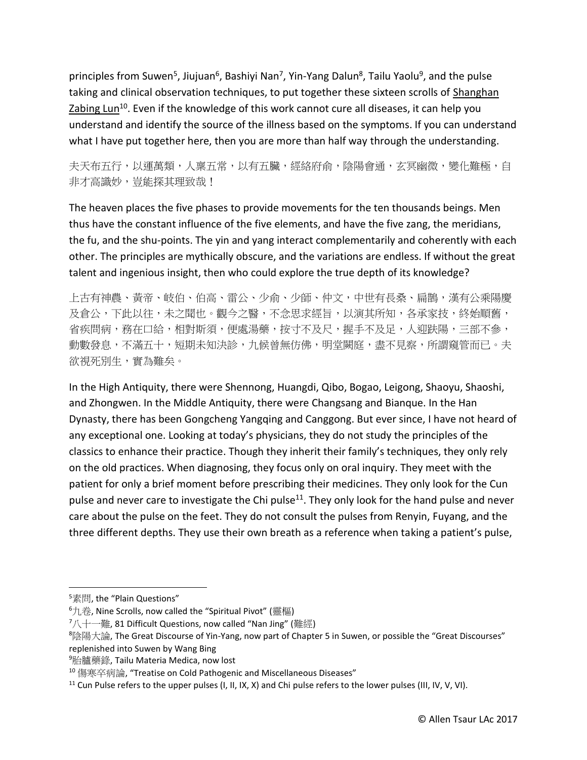principles from Suwen<sup>5</sup>, Jiujuan<sup>6</sup>, Bashiyi Nan<sup>7</sup>, Yin-Yang Dalun<sup>8</sup>, Tailu Yaolu<sup>9</sup>, and the pulse taking and clinical observation techniques, to put together these sixteen scrolls of Shanghan Zabing Lun<sup>10</sup>. Even if the knowledge of this work cannot cure all diseases, it can help you understand and identify the source of the illness based on the symptoms. If you can understand what I have put together here, then you are more than half way through the understanding.

夫天布五行,以運萬類,人稟五常,以有五臟,經絡府俞,陰陽會通,玄冥幽微,變化難極,自 非才高識妙, 豈能探其理致哉!

The heaven places the five phases to provide movements for the ten thousands beings. Men thus have the constant influence of the five elements, and have the five zang, the meridians, the fu, and the shu-points. The yin and yang interact complementarily and coherently with each other. The principles are mythically obscure, and the variations are endless. If without the great talent and ingenious insight, then who could explore the true depth of its knowledge?

上古有神農、黃帝、岐伯、伯高、雷公、少俞、少師、仲文,中世有長桑、扁鵲,漢有公乘陽慶 及倉公,下此以往,未之聞也。觀今之醫,不念思求經旨,以演其所知,各承家技,終始順舊, 省疾問病,務在口給,相對斯須,便處湯藥,按寸不及尺,握手不及足,人迎趺陽,三部不參, 動數發息,不滿五十,短期未知決診,九候曾無仿佛,明堂闕庭,盡不見察,所謂窺管而已。夫 欲視死別生,實為難矣。

In the High Antiquity, there were Shennong, Huangdi, Qibo, Bogao, Leigong, Shaoyu, Shaoshi, and Zhongwen. In the Middle Antiquity, there were Changsang and Bianque. In the Han Dynasty, there has been Gongcheng Yangqing and Canggong. But ever since, I have not heard of any exceptional one. Looking at today's physicians, they do not study the principles of the classics to enhance their practice. Though they inherit their family's techniques, they only rely on the old practices. When diagnosing, they focus only on oral inquiry. They meet with the patient for only a brief moment before prescribing their medicines. They only look for the Cun pulse and never care to investigate the Chi pulse<sup>11</sup>. They only look for the hand pulse and never care about the pulse on the feet. They do not consult the pulses from Renyin, Fuyang, and the three different depths. They use their own breath as a reference when taking a patient's pulse,

 $\overline{a}$ 

<sup>&</sup>lt;sup>5</sup>素問, the "Plain Questions"

<sup>6</sup>九卷, Nine Scrolls, now called the "Spiritual Pivot" (靈樞)

 $7/\sqrt{1-\ddot{m}}$ , 81 Difficult Questions, now called "Nan Jing" (難經)

<sup>8</sup>陰陽大論, The Great Discourse of Yin-Yang, now part of Chapter 5 in Suwen, or possible the "Great Discourses" replenished into Suwen by Wang Bing

<sup>9</sup>胎臚藥錄, Tailu Materia Medica, now lost

<sup>10</sup> 傷寒卒病論, "Treatise on Cold Pathogenic and Miscellaneous Diseases"

<sup>&</sup>lt;sup>11</sup> Cun Pulse refers to the upper pulses (I, II, IX, X) and Chi pulse refers to the lower pulses (III, IV, V, VI).